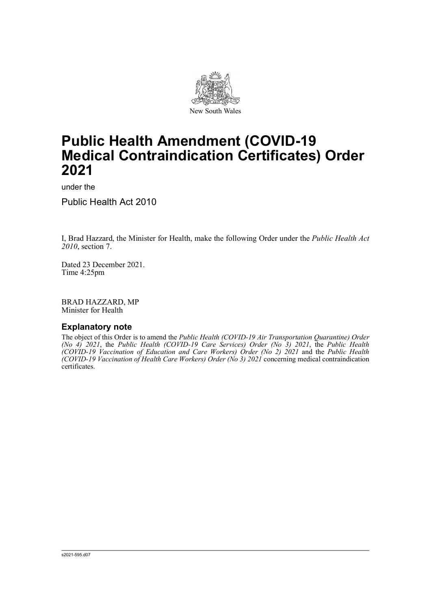

# **Public Health Amendment (COVID-19 Medical Contraindication Certificates) Order 2021**

under the

Public Health Act 2010

I, Brad Hazzard, the Minister for Health, make the following Order under the *Public Health Act 2010*, section 7.

Dated 23 December 2021. Time 4:25pm

BRAD HAZZARD, MP Minister for Health

# **Explanatory note**

The object of this Order is to amend the *Public Health (COVID-19 Air Transportation Quarantine) Order (No 4) 2021*, the *Public Health (COVID-19 Care Services) Order (No 3) 2021*, the *Public Health (COVID-19 Vaccination of Education and Care Workers) Order (No 2) 2021* and the *Public Health (COVID-19 Vaccination of Health Care Workers) Order (No 3) 2021* concerning medical contraindication certificates.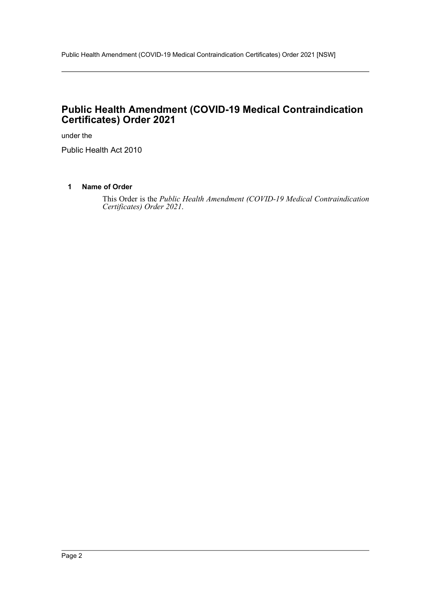# **Public Health Amendment (COVID-19 Medical Contraindication Certificates) Order 2021**

under the

Public Health Act 2010

# **1 Name of Order**

This Order is the *Public Health Amendment (COVID-19 Medical Contraindication Certificates) Order 2021*.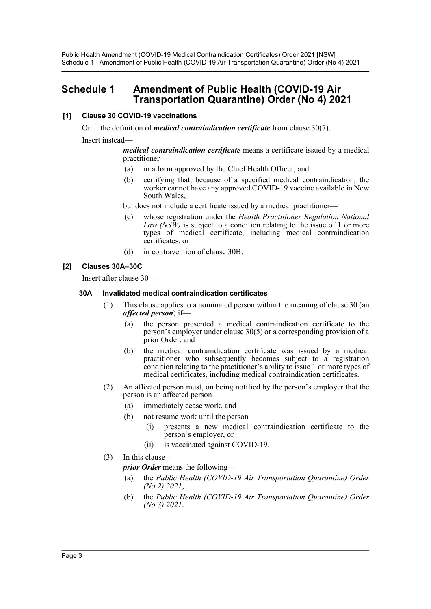Public Health Amendment (COVID-19 Medical Contraindication Certificates) Order 2021 [NSW] Schedule 1 Amendment of Public Health (COVID-19 Air Transportation Quarantine) Order (No 4) 2021

# **Schedule 1 Amendment of Public Health (COVID-19 Air Transportation Quarantine) Order (No 4) 2021**

## **[1] Clause 30 COVID-19 vaccinations**

Omit the definition of *medical contraindication certificate* from clause 30(7). Insert instead—

> *medical contraindication certificate* means a certificate issued by a medical practitioner—

- (a) in a form approved by the Chief Health Officer, and
- (b) certifying that, because of a specified medical contraindication, the worker cannot have any approved COVID-19 vaccine available in New South Wales,

but does not include a certificate issued by a medical practitioner—

- (c) whose registration under the *Health Practitioner Regulation National Law (NSW)* is subject to a condition relating to the issue of 1 or more types of medical certificate, including medical contraindication certificates, or
- (d) in contravention of clause 30B.

#### **[2] Clauses 30A–30C**

Insert after clause 30—

#### **30A Invalidated medical contraindication certificates**

- (1) This clause applies to a nominated person within the meaning of clause 30 (an *affected person*) if—
	- (a) the person presented a medical contraindication certificate to the person's employer under clause 30(5) or a corresponding provision of a prior Order, and
	- (b) the medical contraindication certificate was issued by a medical practitioner who subsequently becomes subject to a registration condition relating to the practitioner's ability to issue 1 or more types of medical certificates, including medical contraindication certificates.
- (2) An affected person must, on being notified by the person's employer that the person is an affected person—
	- (a) immediately cease work, and
	- (b) not resume work until the person—
		- (i) presents a new medical contraindication certificate to the person's employer, or
		- (ii) is vaccinated against COVID-19.
- (3) In this clause—

*prior Order* means the following—

- (a) the *Public Health (COVID-19 Air Transportation Quarantine) Order (No 2) 2021*,
- (b) the *Public Health (COVID-19 Air Transportation Quarantine) Order (No 3) 2021*.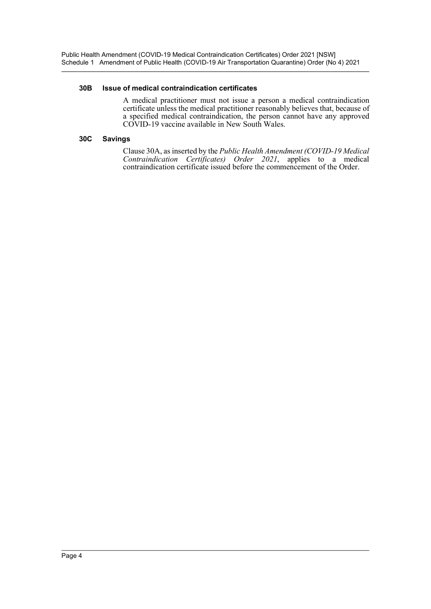Public Health Amendment (COVID-19 Medical Contraindication Certificates) Order 2021 [NSW] Schedule 1 Amendment of Public Health (COVID-19 Air Transportation Quarantine) Order (No 4) 2021

#### **30B Issue of medical contraindication certificates**

A medical practitioner must not issue a person a medical contraindication certificate unless the medical practitioner reasonably believes that, because of a specified medical contraindication, the person cannot have any approved COVID-19 vaccine available in New South Wales.

## **30C Savings**

Clause 30A, as inserted by the *Public Health Amendment (COVID-19 Medical Contraindication Certificates) Order 2021*, applies to a medical contraindication certificate issued before the commencement of the Order.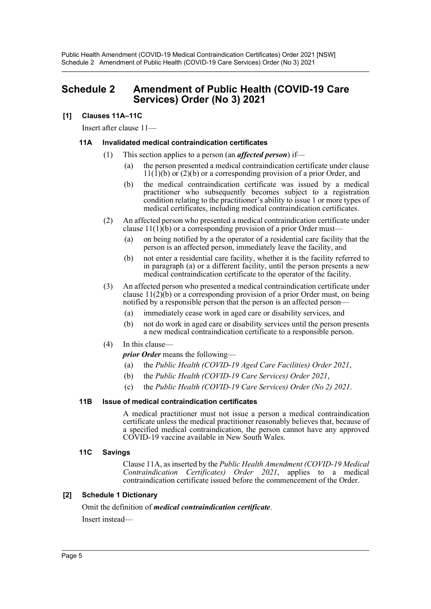# **Schedule 2 Amendment of Public Health (COVID-19 Care Services) Order (No 3) 2021**

# **[1] Clauses 11A–11C**

Insert after clause 11—

## **11A Invalidated medical contraindication certificates**

- (1) This section applies to a person (an *affected person*) if—
	- (a) the person presented a medical contraindication certificate under clause  $11(1)(b)$  or  $(2)(b)$  or a corresponding provision of a prior Order, and
	- (b) the medical contraindication certificate was issued by a medical practitioner who subsequently becomes subject to a registration condition relating to the practitioner's ability to issue 1 or more types of medical certificates, including medical contraindication certificates.
- (2) An affected person who presented a medical contraindication certificate under clause  $11(1)$ (b) or a corresponding provision of a prior Order must—
	- (a) on being notified by a the operator of a residential care facility that the person is an affected person, immediately leave the facility, and
	- (b) not enter a residential care facility, whether it is the facility referred to in paragraph (a) or a different facility, until the person presents a new medical contraindication certificate to the operator of the facility.
- (3) An affected person who presented a medical contraindication certificate under clause  $11(2)(b)$  or a corresponding provision of a prior Order must, on being notified by a responsible person that the person is an affected person—
	- (a) immediately cease work in aged care or disability services, and
	- (b) not do work in aged care or disability services until the person presents a new medical contraindication certificate to a responsible person.
- (4) In this clause—

*prior Order* means the following—

- (a) the *Public Health (COVID-19 Aged Care Facilities) Order 2021*,
- (b) the *Public Health (COVID-19 Care Services) Order 2021*,
- (c) the *Public Health (COVID-19 Care Services) Order (No 2) 2021*.

#### **11B Issue of medical contraindication certificates**

A medical practitioner must not issue a person a medical contraindication certificate unless the medical practitioner reasonably believes that, because of a specified medical contraindication, the person cannot have any approved COVID-19 vaccine available in New South Wales.

#### **11C Savings**

Clause 11A, as inserted by the *Public Health Amendment (COVID-19 Medical Contraindication Certificates) Order 2021*, applies to a medical contraindication certificate issued before the commencement of the Order.

#### **[2] Schedule 1 Dictionary**

Omit the definition of *medical contraindication certificate*.

Insert instead—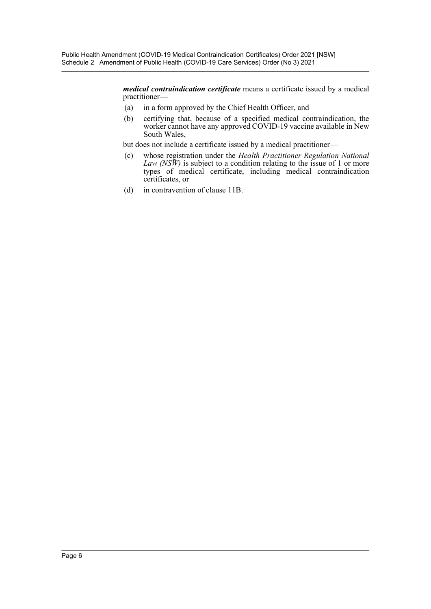*medical contraindication certificate* means a certificate issued by a medical practitioner—

- (a) in a form approved by the Chief Health Officer, and
- (b) certifying that, because of a specified medical contraindication, the worker cannot have any approved COVID-19 vaccine available in New South Wales,

but does not include a certificate issued by a medical practitioner—

- (c) whose registration under the *Health Practitioner Regulation National Law (NSW)* is subject to a condition relating to the issue of 1 or more types of medical certificate, including medical contraindication certificates, or
- (d) in contravention of clause 11B.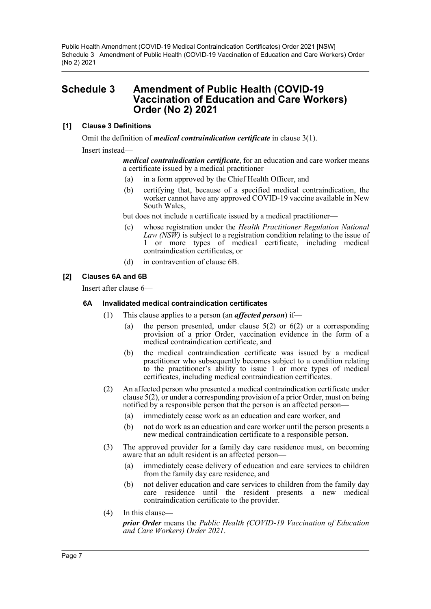Public Health Amendment (COVID-19 Medical Contraindication Certificates) Order 2021 [NSW] Schedule 3 Amendment of Public Health (COVID-19 Vaccination of Education and Care Workers) Order (No 2) 2021

# **Schedule 3 Amendment of Public Health (COVID-19 Vaccination of Education and Care Workers) Order (No 2) 2021**

## **[1] Clause 3 Definitions**

Omit the definition of *medical contraindication certificate* in clause 3(1).

Insert instead—

*medical contraindication certificate*, for an education and care worker means a certificate issued by a medical practitioner—

- (a) in a form approved by the Chief Health Officer, and
- (b) certifying that, because of a specified medical contraindication, the worker cannot have any approved COVID-19 vaccine available in New South Wales,

but does not include a certificate issued by a medical practitioner—

- (c) whose registration under the *Health Practitioner Regulation National Law (NSW)* is subject to a registration condition relating to the issue of 1 or more types of medical certificate, including medical contraindication certificates, or
- (d) in contravention of clause 6B.

## **[2] Clauses 6A and 6B**

Insert after clause 6—

#### **6A Invalidated medical contraindication certificates**

- (1) This clause applies to a person (an *affected person*) if—
	- (a) the person presented, under clause  $5(2)$  or  $6(2)$  or a corresponding provision of a prior Order, vaccination evidence in the form of a medical contraindication certificate, and
	- (b) the medical contraindication certificate was issued by a medical practitioner who subsequently becomes subject to a condition relating to the practitioner's ability to issue 1 or more types of medical certificates, including medical contraindication certificates.
- (2) An affected person who presented a medical contraindication certificate under clause 5(2), or under a corresponding provision of a prior Order, must on being notified by a responsible person that the person is an affected person—
	- (a) immediately cease work as an education and care worker, and
	- (b) not do work as an education and care worker until the person presents a new medical contraindication certificate to a responsible person.
- (3) The approved provider for a family day care residence must, on becoming aware that an adult resident is an affected person—
	- (a) immediately cease delivery of education and care services to children from the family day care residence, and
	- (b) not deliver education and care services to children from the family day care residence until the resident presents a new medical contraindication certificate to the provider.
- (4) In this clause *prior Order* means the *Public Health (COVID-19 Vaccination of Education and Care Workers) Order 2021*.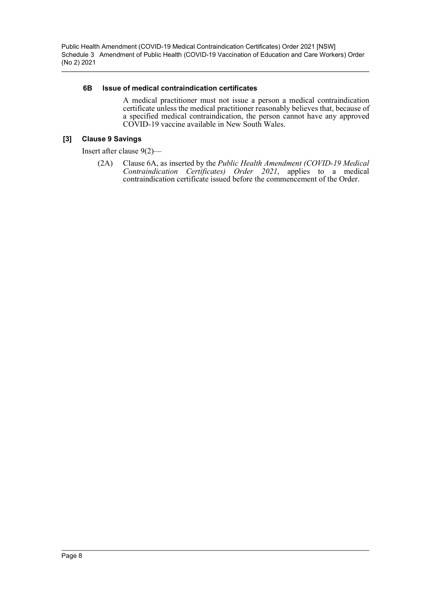Public Health Amendment (COVID-19 Medical Contraindication Certificates) Order 2021 [NSW] Schedule 3 Amendment of Public Health (COVID-19 Vaccination of Education and Care Workers) Order (No 2) 2021

#### **6B Issue of medical contraindication certificates**

A medical practitioner must not issue a person a medical contraindication certificate unless the medical practitioner reasonably believes that, because of a specified medical contraindication, the person cannot have any approved COVID-19 vaccine available in New South Wales.

### **[3] Clause 9 Savings**

Insert after clause 9(2)—

(2A) Clause 6A, as inserted by the *Public Health Amendment (COVID-19 Medical Contraindication Certificates) Order 2021*, applies to a medical contraindication certificate issued before the commencement of the Order.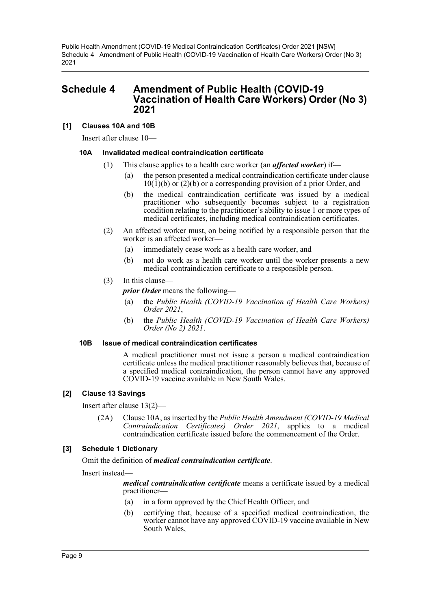Public Health Amendment (COVID-19 Medical Contraindication Certificates) Order 2021 [NSW] Schedule 4 Amendment of Public Health (COVID-19 Vaccination of Health Care Workers) Order (No 3) 2021

# **Schedule 4 Amendment of Public Health (COVID-19 Vaccination of Health Care Workers) Order (No 3) 2021**

#### **[1] Clauses 10A and 10B**

Insert after clause 10—

#### **10A Invalidated medical contraindication certificate**

- (1) This clause applies to a health care worker (an *affected worker*) if—
	- (a) the person presented a medical contraindication certificate under clause  $10(1)(b)$  or  $(2)(b)$  or a corresponding provision of a prior Order, and
	- (b) the medical contraindication certificate was issued by a medical practitioner who subsequently becomes subject to a registration condition relating to the practitioner's ability to issue 1 or more types of medical certificates, including medical contraindication certificates.
- (2) An affected worker must, on being notified by a responsible person that the worker is an affected worker—
	- (a) immediately cease work as a health care worker, and
	- (b) not do work as a health care worker until the worker presents a new medical contraindication certificate to a responsible person.

#### (3) In this clause—

*prior Order* means the following—

- (a) the *Public Health (COVID-19 Vaccination of Health Care Workers) Order 2021*,
- (b) the *Public Health (COVID-19 Vaccination of Health Care Workers) Order (No 2) 2021*.

#### **10B Issue of medical contraindication certificates**

A medical practitioner must not issue a person a medical contraindication certificate unless the medical practitioner reasonably believes that, because of a specified medical contraindication, the person cannot have any approved COVID-19 vaccine available in New South Wales.

#### **[2] Clause 13 Savings**

Insert after clause 13(2)—

(2A) Clause 10A, as inserted by the *Public Health Amendment (COVID-19 Medical Contraindication Certificates) Order 2021*, applies to a medical contraindication certificate issued before the commencement of the Order.

#### **[3] Schedule 1 Dictionary**

Omit the definition of *medical contraindication certificate*.

Insert instead—

*medical contraindication certificate* means a certificate issued by a medical practitioner—

- (a) in a form approved by the Chief Health Officer, and
- (b) certifying that, because of a specified medical contraindication, the worker cannot have any approved COVID-19 vaccine available in New South Wales,